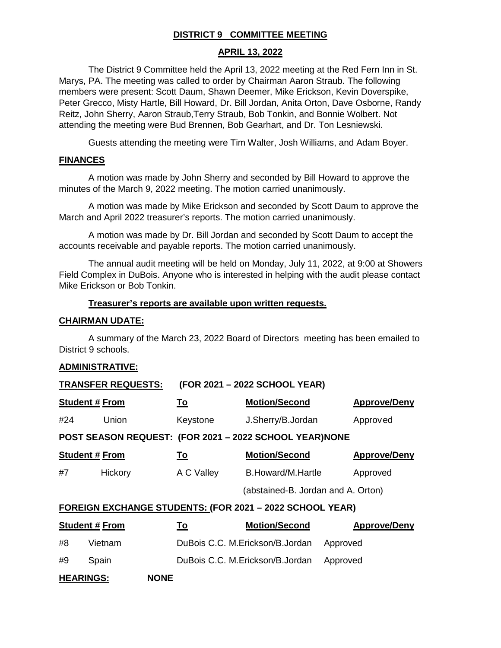## **DISTRICT 9 COMMITTEE MEETING**

#### **APRIL 13, 2022**

The District 9 Committee held the April 13, 2022 meeting at the Red Fern Inn in St. Marys, PA. The meeting was called to order by Chairman Aaron Straub. The following members were present: Scott Daum, Shawn Deemer, Mike Erickson, Kevin Doverspike, Peter Grecco, Misty Hartle, Bill Howard, Dr. Bill Jordan, Anita Orton, Dave Osborne, Randy Reitz, John Sherry, Aaron Straub,Terry Straub, Bob Tonkin, and Bonnie Wolbert. Not attending the meeting were Bud Brennen, Bob Gearhart, and Dr. Ton Lesniewski.

Guests attending the meeting were Tim Walter, Josh Williams, and Adam Boyer.

#### **FINANCES**

A motion was made by John Sherry and seconded by Bill Howard to approve the minutes of the March 9, 2022 meeting. The motion carried unanimously.

A motion was made by Mike Erickson and seconded by Scott Daum to approve the March and April 2022 treasurer's reports. The motion carried unanimously.

A motion was made by Dr. Bill Jordan and seconded by Scott Daum to accept the accounts receivable and payable reports. The motion carried unanimously.

The annual audit meeting will be held on Monday, July 11, 2022, at 9:00 at Showers Field Complex in DuBois. Anyone who is interested in helping with the audit please contact Mike Erickson or Bob Tonkin.

#### **Treasurer's reports are available upon written requests.**

#### **CHAIRMAN UDATE:**

A summary of the March 23, 2022 Board of Directors meeting has been emailed to District 9 schools.

#### **ADMINISTRATIVE:**

| <b>TRANSFER REQUESTS:</b>                              |                       |            | (FOR 2021 - 2022 SCHOOL YEAR)                                   |                     |  |
|--------------------------------------------------------|-----------------------|------------|-----------------------------------------------------------------|---------------------|--|
| <b>Student # From</b>                                  |                       | <u>To</u>  | <b>Motion/Second</b>                                            | <b>Approve/Deny</b> |  |
| #24                                                    | Union                 | Keystone   | J.Sherry/B.Jordan                                               | Approved            |  |
| POST SEASON REQUEST: (FOR 2021 - 2022 SCHOOL YEAR)NONE |                       |            |                                                                 |                     |  |
|                                                        | <b>Student # From</b> | <u>To</u>  | <b>Motion/Second</b>                                            | <b>Approve/Deny</b> |  |
| #7                                                     | Hickory               | A C Valley | B.Howard/M.Hartle                                               | Approved            |  |
|                                                        |                       |            | (abstained-B. Jordan and A. Orton)                              |                     |  |
|                                                        |                       |            | <b>FOREIGN EXCHANGE STUDENTS: (FOR 2021 - 2022 SCHOOL YEAR)</b> |                     |  |
|                                                        | <b>Student # From</b> | <u>To</u>  | <b>Motion/Second</b>                                            | <b>Approve/Deny</b> |  |
| #8                                                     | Vietnam               |            | DuBois C.C. M. Erickson/B. Jordan                               | Approved            |  |
| #9                                                     | Spain                 |            | DuBois C.C. M. Erickson/B. Jordan                               | Approved            |  |
| <b>HEARINGS:</b><br><b>NONE</b>                        |                       |            |                                                                 |                     |  |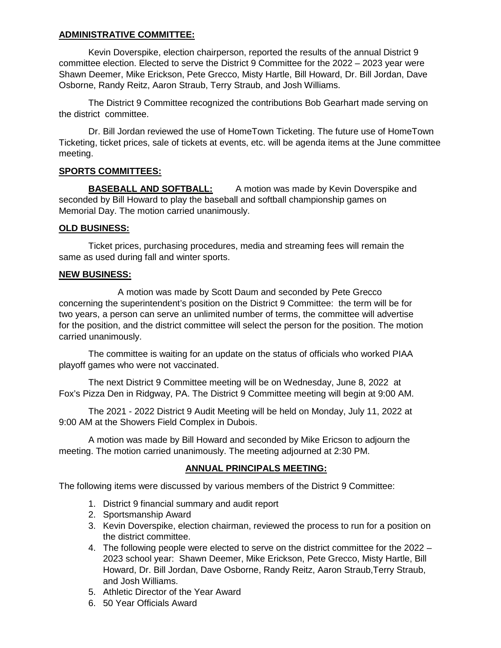### **ADMINISTRATIVE COMMITTEE:**

Kevin Doverspike, election chairperson, reported the results of the annual District 9 committee election. Elected to serve the District 9 Committee for the 2022 – 2023 year were Shawn Deemer, Mike Erickson, Pete Grecco, Misty Hartle, Bill Howard, Dr. Bill Jordan, Dave Osborne, Randy Reitz, Aaron Straub, Terry Straub, and Josh Williams.

The District 9 Committee recognized the contributions Bob Gearhart made serving on the district committee.

Dr. Bill Jordan reviewed the use of HomeTown Ticketing. The future use of HomeTown Ticketing, ticket prices, sale of tickets at events, etc. will be agenda items at the June committee meeting.

## **SPORTS COMMITTEES:**

**BASEBALL AND SOFTBALL:** A motion was made by Kevin Doverspike and seconded by Bill Howard to play the baseball and softball championship games on Memorial Day. The motion carried unanimously.

#### **OLD BUSINESS:**

Ticket prices, purchasing procedures, media and streaming fees will remain the same as used during fall and winter sports.

#### **NEW BUSINESS:**

A motion was made by Scott Daum and seconded by Pete Grecco concerning the superintendent's position on the District 9 Committee: the term will be for two years, a person can serve an unlimited number of terms, the committee will advertise for the position, and the district committee will select the person for the position. The motion carried unanimously.

The committee is waiting for an update on the status of officials who worked PIAA playoff games who were not vaccinated.

The next District 9 Committee meeting will be on Wednesday, June 8, 2022 at Fox's Pizza Den in Ridgway, PA. The District 9 Committee meeting will begin at 9:00 AM.

The 2021 - 2022 District 9 Audit Meeting will be held on Monday, July 11, 2022 at 9:00 AM at the Showers Field Complex in Dubois.

A motion was made by Bill Howard and seconded by Mike Ericson to adjourn the meeting. The motion carried unanimously. The meeting adjourned at 2:30 PM.

## **ANNUAL PRINCIPALS MEETING:**

The following items were discussed by various members of the District 9 Committee:

- 1. District 9 financial summary and audit report
- 2. Sportsmanship Award
- 3. Kevin Doverspike, election chairman, reviewed the process to run for a position on the district committee.
- 4. The following people were elected to serve on the district committee for the 2022 2023 school year: Shawn Deemer, Mike Erickson, Pete Grecco, Misty Hartle, Bill Howard, Dr. Bill Jordan, Dave Osborne, Randy Reitz, Aaron Straub, Terry Straub, and Josh Williams.
- 5. Athletic Director of the Year Award
- 6. 50 Year Officials Award